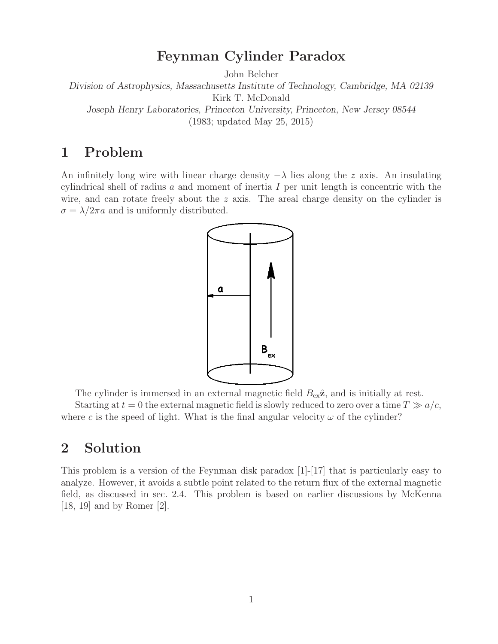# **Feynman Cylinder Paradox**

John Belcher

*Division of Astrophysics, Massachusetts Institute of Technology, Cambridge, MA 02139* Kirk T. McDonald

*Joseph Henry Laboratories, Princeton University, Princeton, New Jersey 08544* (1983; updated May 25, 2015)

# **1 Problem**

An infinitely long wire with linear charge density  $-\lambda$  lies along the z axis. An insulating cylindrical shell of radius  $a$  and moment of inertia  $I$  per unit length is concentric with the wire, and can rotate freely about the  $z$  axis. The areal charge density on the cylinder is  $\sigma = \lambda/2\pi a$  and is uniformly distributed.



The cylinder is immersed in an external magnetic field  $B_{ex}\hat{z}$ , and is initially at rest.

Starting at  $t = 0$  the external magnetic field is slowly reduced to zero over a time  $T \gg a/c$ , where c is the speed of light. What is the final angular velocity  $\omega$  of the cylinder?

## **2 Solution**

This problem is a version of the Feynman disk paradox [1]-[17] that is particularly easy to analyze. However, it avoids a subtle point related to the return flux of the external magnetic field, as discussed in sec. 2.4. This problem is based on earlier discussions by McKenna [18, 19] and by Romer [2].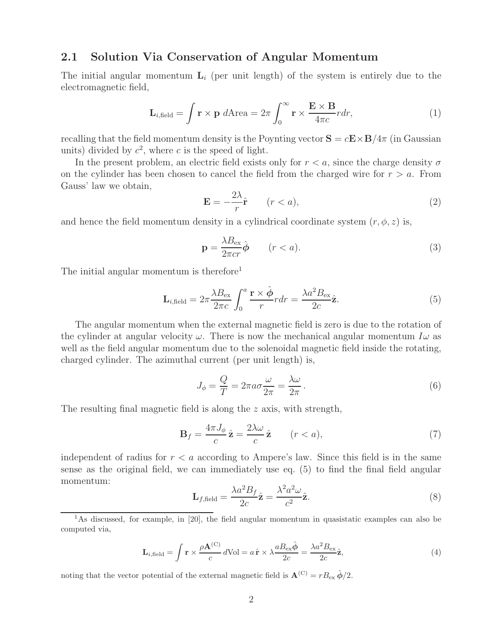#### **2.1 Solution Via Conservation of Angular Momentum**

The initial angular momentum  $\mathbf{L}_i$  (per unit length) of the system is entirely due to the electromagnetic field,

$$
\mathbf{L}_{i,\text{field}} = \int \mathbf{r} \times \mathbf{p} \, d\text{Area} = 2\pi \int_0^\infty \mathbf{r} \times \frac{\mathbf{E} \times \mathbf{B}}{4\pi c} r dr,\tag{1}
$$

recalling that the field momentum density is the Poynting vector  $S = cE \times B/4\pi$  (in Gaussian units) divided by  $c^2$ , where c is the speed of light.

In the present problem, an electric field exists only for  $r < a$ , since the charge density  $\sigma$ on the cylinder has been chosen to cancel the field from the charged wire for  $r > a$ . From Gauss' law we obtain,

$$
\mathbf{E} = -\frac{2\lambda}{r}\hat{\mathbf{r}} \qquad (r < a),\tag{2}
$$

and hence the field momentum density in a cylindrical coordinate system  $(r, \phi, z)$  is,

$$
\mathbf{p} = \frac{\lambda B_{\text{ex}}}{2\pi c r} \hat{\boldsymbol{\phi}} \qquad (r < a). \tag{3}
$$

The initial angular momentum is therefore<sup>1</sup>

$$
\mathbf{L}_{i,\text{field}} = 2\pi \frac{\lambda B_{\text{ex}}}{2\pi c} \int_0^a \frac{\mathbf{r} \times \hat{\boldsymbol{\phi}}}{r} r dr = \frac{\lambda a^2 B_{\text{ex}}}{2c} \hat{\mathbf{z}}.
$$
 (5)

The angular momentum when the external magnetic field is zero is due to the rotation of the cylinder at angular velocity  $\omega$ . There is now the mechanical angular momentum  $I\omega$  as well as the field angular momentum due to the solenoidal magnetic field inside the rotating, charged cylinder. The azimuthal current (per unit length) is,

$$
J_{\phi} = \frac{Q}{T} = 2\pi a \sigma \frac{\omega}{2\pi} = \frac{\lambda \omega}{2\pi}.
$$
\n<sup>(6)</sup>

The resulting final magnetic field is along the z axis, with strength,

$$
\mathbf{B}_f = \frac{4\pi J_\phi}{c} \hat{\mathbf{z}} = \frac{2\lambda\omega}{c} \hat{\mathbf{z}} \qquad (r < a),\tag{7}
$$

independent of radius for  $r < a$  according to Ampere's law. Since this field is in the same sense as the original field, we can immediately use eq. (5) to find the final field angular momentum:

$$
\mathbf{L}_{f,\text{field}} = \frac{\lambda a^2 B_f}{2c} \hat{\mathbf{z}} = \frac{\lambda^2 a^2 \omega}{c^2} \hat{\mathbf{z}}.\tag{8}
$$

<sup>1</sup>As discussed, for example, in [20], the field angular momentum in quasistatic examples can also be computed via,

$$
\mathbf{L}_{i,\text{field}} = \int \mathbf{r} \times \frac{\rho \mathbf{A}^{(C)}}{c} d\text{Vol} = a \,\hat{\mathbf{r}} \times \lambda \frac{a B_{\text{ex}} \hat{\phi}}{2c} = \frac{\lambda a^2 B_{\text{ex}}}{2c} \hat{\mathbf{z}},\tag{4}
$$

noting that the vector potential of the external magnetic field is  $\mathbf{A}^{(C)} = r B_{\text{ex}} \hat{\phi}/2$ .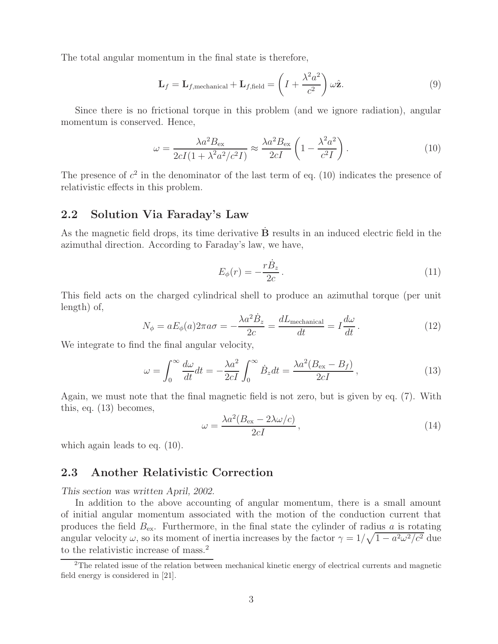The total angular momentum in the final state is therefore,

$$
\mathbf{L}_f = \mathbf{L}_{f,\text{mechanical}} + \mathbf{L}_{f,\text{field}} = \left( I + \frac{\lambda^2 a^2}{c^2} \right) \omega \hat{\mathbf{z}}.\tag{9}
$$

Since there is no frictional torque in this problem (and we ignore radiation), angular momentum is conserved. Hence,

$$
\omega = \frac{\lambda a^2 B_{\text{ex}}}{2cI(1 + \lambda^2 a^2/c^2 I)} \approx \frac{\lambda a^2 B_{\text{ex}}}{2cI} \left(1 - \frac{\lambda^2 a^2}{c^2 I}\right). \tag{10}
$$

The presence of  $c^2$  in the denominator of the last term of eq. (10) indicates the presence of relativistic effects in this problem.

### **2.2 Solution Via Faraday's Law**

As the magnetic field drops, its time derivative **B** results in an induced electric field in the azimuthal direction. According to Faraday's law, we have,

$$
E_{\phi}(r) = -\frac{r\dot{B}_z}{2c} \,. \tag{11}
$$

This field acts on the charged cylindrical shell to produce an azimuthal torque (per unit length) of,

$$
N_{\phi} = aE_{\phi}(a)2\pi a\sigma = -\frac{\lambda a^2 \dot{B}_z}{2c} = \frac{dL_{\text{mechanical}}}{dt} = I\frac{d\omega}{dt}.
$$
 (12)

We integrate to find the final angular velocity,

$$
\omega = \int_0^\infty \frac{d\omega}{dt} dt = -\frac{\lambda a^2}{2cI} \int_0^\infty \dot{B}_z dt = \frac{\lambda a^2 (B_{\text{ex}} - B_f)}{2cI},\tag{13}
$$

Again, we must note that the final magnetic field is not zero, but is given by eq. (7). With this, eq. (13) becomes,

$$
\omega = \frac{\lambda a^2 (B_{\text{ex}} - 2\lambda \omega/c)}{2cI},\tag{14}
$$

which again leads to eq.  $(10)$ .

### **2.3 Another Relativistic Correction**

*This section was written April, 2002.*

In addition to the above accounting of angular momentum, there is a small amount of initial angular momentum associated with the motion of the conduction current that produces the field  $B_{\text{ex}}$ . Furthermore, in the final state the cylinder of radius a is rotating angular velocity  $\omega$ , so its moment of inertia increases by the factor  $\gamma = 1/\sqrt{1 - a^2 \omega^2/c^2}$  due to the relativistic increase of mass.<sup>2</sup>

<sup>2</sup>The related issue of the relation between mechanical kinetic energy of electrical currents and magnetic field energy is considered in [21].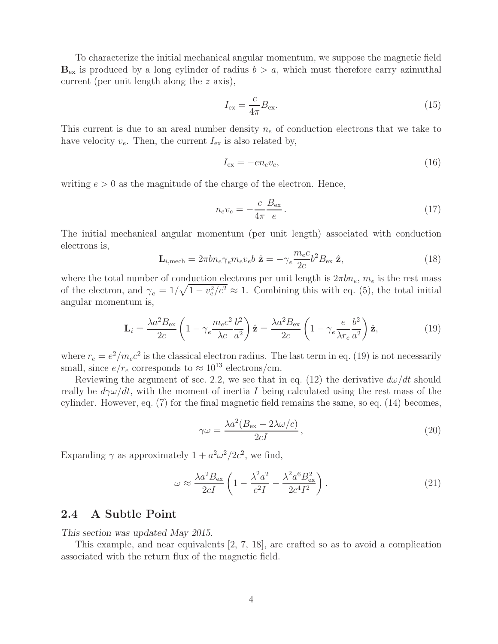To characterize the initial mechanical angular momentum, we suppose the magnetic field  **is produced by a long cylinder of radius**  $b > a$ **, which must therefore carry azimuthal** current (per unit length along the z axis),

$$
I_{\text{ex}} = \frac{c}{4\pi} B_{\text{ex}}.\tag{15}
$$

This current is due to an areal number density  $n_e$  of conduction electrons that we take to have velocity  $v_e$ . Then, the current  $I_{ex}$  is also related by,

$$
I_{\text{ex}} = -en_e v_e,\tag{16}
$$

writing  $e > 0$  as the magnitude of the charge of the electron. Hence,

$$
n_e v_e = -\frac{c}{4\pi} \frac{B_{\text{ex}}}{e} \,. \tag{17}
$$

The initial mechanical angular momentum (per unit length) associated with conduction electrons is,

$$
\mathbf{L}_{i,\text{mech}} = 2\pi b n_e \gamma_e m_e v_e b \hat{\mathbf{z}} = -\gamma_e \frac{m_e c}{2e} b^2 B_{\text{ex}} \hat{\mathbf{z}},\tag{18}
$$

where the total number of conduction electrons per unit length is  $2\pi bn_e$ ,  $m_e$  is the rest mass of the electron, and  $\gamma_e = 1/\sqrt{1 - v_e^2/c^2} \approx 1$ . Combining this with eq. (5), the total initial angular momentum is,

$$
\mathbf{L}_{i} = \frac{\lambda a^{2} B_{\text{ex}}}{2c} \left( 1 - \gamma_{e} \frac{m_{e} c^{2} b^{2}}{\lambda e a^{2}} \right) \hat{\mathbf{z}} = \frac{\lambda a^{2} B_{\text{ex}}}{2c} \left( 1 - \gamma_{e} \frac{e}{\lambda r_{e} a^{2}} \right) \hat{\mathbf{z}}, \tag{19}
$$

where  $r_e = e^2/m_e c^2$  is the classical electron radius. The last term in eq. (19) is not necessarily small, since  $e/r_e$  corresponds to  $\approx 10^{13}$  electrons/cm.

Reviewing the argument of sec. 2.2, we see that in eq. (12) the derivative  $d\omega/dt$  should really be  $d\gamma\omega/dt$ , with the moment of inertia I being calculated using the rest mass of the cylinder. However, eq. (7) for the final magnetic field remains the same, so eq. (14) becomes,

$$
\gamma \omega = \frac{\lambda a^2 (B_{\text{ex}} - 2\lambda \omega/c)}{2cI},\tag{20}
$$

Expanding  $\gamma$  as approximately  $1 + a^2 \omega^2 / 2c^2$ , we find,

$$
\omega \approx \frac{\lambda a^2 B_{\text{ex}}}{2cI} \left( 1 - \frac{\lambda^2 a^2}{c^2 I} - \frac{\lambda^2 a^6 B_{\text{ex}}^2}{2c^4 I^2} \right). \tag{21}
$$

#### **2.4 A Subtle Point**

*This section was updated May 2015.*

This example, and near equivalents [2, 7, 18], are crafted so as to avoid a complication associated with the return flux of the magnetic field.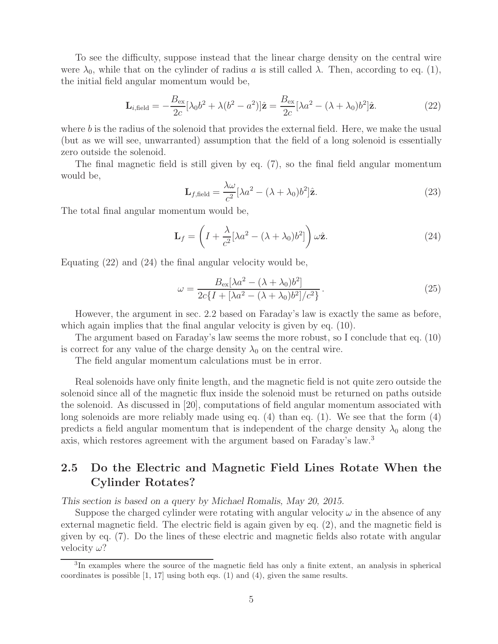To see the difficulty, suppose instead that the linear charge density on the central wire were  $\lambda_0$ , while that on the cylinder of radius a is still called  $\lambda$ . Then, according to eq. (1), the initial field angular momentum would be,

$$
\mathbf{L}_{i,\text{field}} = -\frac{B_{\text{ex}}}{2c} [\lambda_0 b^2 + \lambda (b^2 - a^2)]\hat{\mathbf{z}} = \frac{B_{\text{ex}}}{2c} [\lambda a^2 - (\lambda + \lambda_0) b^2] \hat{\mathbf{z}}.
$$
 (22)

where  $b$  is the radius of the solenoid that provides the external field. Here, we make the usual (but as we will see, unwarranted) assumption that the field of a long solenoid is essentially zero outside the solenoid.

The final magnetic field is still given by eq. (7), so the final field angular momentum would be,

$$
\mathbf{L}_{f,\text{field}} = \frac{\lambda \omega}{c^2} [\lambda a^2 - (\lambda + \lambda_0) b^2] \hat{\mathbf{z}}.\tag{23}
$$

The total final angular momentum would be,

$$
\mathbf{L}_f = \left( I + \frac{\lambda}{c^2} [\lambda a^2 - (\lambda + \lambda_0) b^2] \right) \omega \hat{\mathbf{z}}.
$$
 (24)

Equating (22) and (24) the final angular velocity would be,

$$
\omega = \frac{B_{\text{ex}}[\lambda a^2 - (\lambda + \lambda_0)b^2]}{2c\{I + [\lambda a^2 - (\lambda + \lambda_0)b^2]/c^2\}}.
$$
\n(25)

However, the argument in sec. 2.2 based on Faraday's law is exactly the same as before, which again implies that the final angular velocity is given by eq.  $(10)$ .

The argument based on Faraday's law seems the more robust, so I conclude that eq. (10) is correct for any value of the charge density  $\lambda_0$  on the central wire.

The field angular momentum calculations must be in error.

Real solenoids have only finite length, and the magnetic field is not quite zero outside the solenoid since all of the magnetic flux inside the solenoid must be returned on paths outside the solenoid. As discussed in [20], computations of field angular momentum associated with long solenoids are more reliably made using eq. (4) than eq. (1). We see that the form (4) predicts a field angular momentum that is independent of the charge density  $\lambda_0$  along the axis, which restores agreement with the argument based on Faraday's law.<sup>3</sup>

### **2.5 Do the Electric and Magnetic Field Lines Rotate When the Cylinder Rotates?**

*This section is based on a query by Michael Romalis, May 20, 2015.*

Suppose the charged cylinder were rotating with angular velocity  $\omega$  in the absence of any external magnetic field. The electric field is again given by eq. (2), and the magnetic field is given by eq. (7). Do the lines of these electric and magnetic fields also rotate with angular velocity  $\omega$ ?

<sup>3</sup>In examples where the source of the magnetic field has only a finite extent, an analysis in spherical coordinates is possible [1, 17] using both eqs. (1) and (4), given the same results.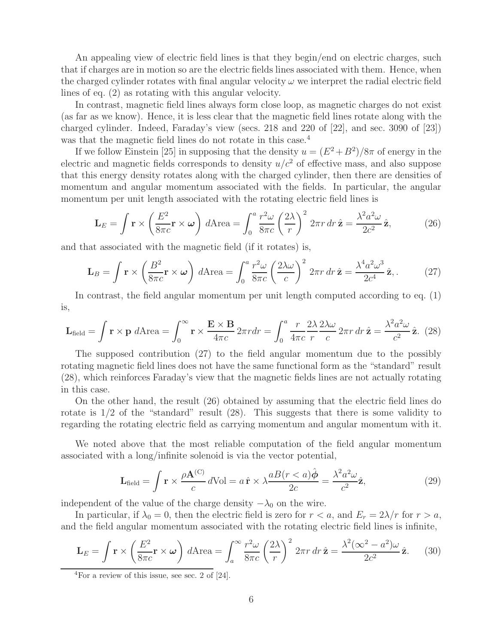An appealing view of electric field lines is that they begin/end on electric charges, such that if charges are in motion so are the electric fields lines associated with them. Hence, when the charged cylinder rotates with final angular velocity  $\omega$  we interpret the radial electric field lines of eq. (2) as rotating with this angular velocity.

In contrast, magnetic field lines always form close loop, as magnetic charges do not exist (as far as we know). Hence, it is less clear that the magnetic field lines rotate along with the charged cylinder. Indeed, Faraday's view (secs. 218 and 220 of [22], and sec. 3090 of [23]) was that the magnetic field lines do not rotate in this case.<sup>4</sup>

If we follow Einstein [25] in supposing that the density  $u = (E^2 + B^2)/8\pi$  of energy in the electric and magnetic fields corresponds to density  $u/c^2$  of effective mass, and also suppose that this energy density rotates along with the charged cylinder, then there are densities of momentum and angular momentum associated with the fields. In particular, the angular momentum per unit length associated with the rotating electric field lines is

$$
\mathbf{L}_E = \int \mathbf{r} \times \left(\frac{E^2}{8\pi c}\mathbf{r} \times \boldsymbol{\omega}\right) d\text{Area} = \int_0^a \frac{r^2 \omega}{8\pi c} \left(\frac{2\lambda}{r}\right)^2 2\pi r \, dr \, \hat{\mathbf{z}} = \frac{\lambda^2 a^2 \omega}{2c^2} \hat{\mathbf{z}},\tag{26}
$$

and that associated with the magnetic field (if it rotates) is,

$$
\mathbf{L}_B = \int \mathbf{r} \times \left(\frac{B^2}{8\pi c} \mathbf{r} \times \boldsymbol{\omega}\right) d\text{Area} = \int_0^a \frac{r^2 \omega}{8\pi c} \left(\frac{2\lambda \omega}{c}\right)^2 2\pi r \, dr \, \hat{\mathbf{z}} = \frac{\lambda^4 a^2 \omega^3}{2c^4} \hat{\mathbf{z}},\tag{27}
$$

In contrast, the field angular momentum per unit length computed according to eq. (1) is,

$$
\mathbf{L}_{\text{field}} = \int \mathbf{r} \times \mathbf{p} \, d\text{Area} = \int_0^\infty \mathbf{r} \times \frac{\mathbf{E} \times \mathbf{B}}{4\pi c} \, 2\pi r dr = \int_0^a \frac{r}{4\pi c} \frac{2\lambda}{r} \frac{2\lambda \omega}{c} \, 2\pi r \, dr \, \hat{\mathbf{z}} = \frac{\lambda^2 a^2 \omega}{c^2} \, \hat{\mathbf{z}}. \tag{28}
$$

The supposed contribution (27) to the field angular momentum due to the possibly rotating magnetic field lines does not have the same functional form as the "standard" result (28), which reinforces Faraday's view that the magnetic fields lines are not actually rotating in this case.

On the other hand, the result (26) obtained by assuming that the electric field lines do rotate is  $1/2$  of the "standard" result  $(28)$ . This suggests that there is some validity to regarding the rotating electric field as carrying momentum and angular momentum with it.

We noted above that the most reliable computation of the field angular momentum associated with a long/infinite solenoid is via the vector potential,

$$
\mathbf{L}_{\text{field}} = \int \mathbf{r} \times \frac{\rho \mathbf{A}^{(C)}}{c} d\text{Vol} = a \,\hat{\mathbf{r}} \times \lambda \frac{aB(r < a)\hat{\boldsymbol{\phi}}}{2c} = \frac{\lambda^2 a^2 \omega}{c^2} \hat{\mathbf{z}},\tag{29}
$$

independent of the value of the charge density  $-\lambda_0$  on the wire.

In particular, if  $\lambda_0 = 0$ , then the electric field is zero for  $r < a$ , and  $E_r = 2\lambda/r$  for  $r > a$ , and the field angular momentum associated with the rotating electric field lines is infinite,

$$
\mathbf{L}_{E} = \int \mathbf{r} \times \left(\frac{E^{2}}{8\pi c}\mathbf{r} \times \boldsymbol{\omega}\right) d\text{Area} = \int_{a}^{\infty} \frac{r^{2} \omega}{8\pi c} \left(\frac{2\lambda}{r}\right)^{2} 2\pi r dr \,\hat{\mathbf{z}} = \frac{\lambda^{2}(\infty^{2} - a^{2})\omega}{2c^{2}} \hat{\mathbf{z}}.
$$
 (30)

<sup>&</sup>lt;sup>4</sup>For a review of this issue, see sec. 2 of [24].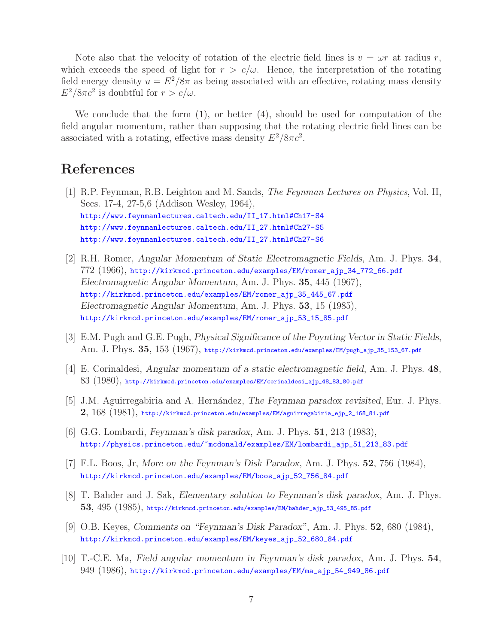Note also that the velocity of rotation of the electric field lines is  $v = \omega r$  at radius r, which exceeds the speed of light for  $r > c/\omega$ . Hence, the interpretation of the rotating field energy density  $u = E^2/8\pi$  as being associated with an effective, rotating mass density  $E^2/8\pi c^2$  is doubtful for  $r > c/\omega$ .

We conclude that the form  $(1)$ , or better  $(4)$ , should be used for computation of the field angular momentum, rather than supposing that the rotating electric field lines can be associated with a rotating, effective mass density  $E^2/8\pi c^2$ .

### **References**

- [1] R.P. Feynman, R.B. Leighton and M. Sands, *The Feynman Lectures on Physics*, Vol. II, Secs. 17-4, 27-5,6 (Addison Wesley, 1964), http://www.feynmanlectures.caltech.edu/II\_17.html#Ch17-S4 http://www.feynmanlectures.caltech.edu/II\_27.html#Ch27-S5 http://www.feynmanlectures.caltech.edu/II\_27.html#Ch27-S6
- [2] R.H. Romer, *Angular Momentum of Static Electromagnetic Fields*, Am. J. Phys. **34**, 772 (1966), http://kirkmcd.princeton.edu/examples/EM/romer\_ajp\_34\_772\_66.pdf *Electromagnetic Angular Momentum*, Am. J. Phys. **35**, 445 (1967), http://kirkmcd.princeton.edu/examples/EM/romer\_ajp\_35\_445\_67.pdf *Electromagnetic Angular Momentum*, Am. J. Phys. **53**, 15 (1985), http://kirkmcd.princeton.edu/examples/EM/romer\_ajp\_53\_15\_85.pdf
- [3] E.M. Pugh and G.E. Pugh, *Physical Significance of the Poynting Vector in Static Fields*, Am. J. Phys. **35**, 153 (1967), http://kirkmcd.princeton.edu/examples/EM/pugh\_ajp\_35\_153\_67.pdf
- [4] E. Corinaldesi, *Angular momentum of a static electromagnetic field*, Am. J. Phys. **48**, 83 (1980), http://kirkmcd.princeton.edu/examples/EM/corinaldesi\_ajp\_48\_83\_80.pdf
- [5] J.M. Aguirregabiria and A. Hern´andez, *The Feynman paradox revisited*, Eur. J. Phys. **2**, 168 (1981), http://kirkmcd.princeton.edu/examples/EM/aguirregabiria\_ejp\_2\_168\_81.pdf
- [6] G.G. Lombardi, *Feynman's disk paradox*, Am. J. Phys. **51**, 213 (1983), http://physics.princeton.edu/~mcdonald/examples/EM/lombardi\_ajp\_51\_213\_83.pdf
- [7] F.L. Boos, Jr, *More on the Feynman's Disk Paradox*, Am. J. Phys. **52**, 756 (1984), http://kirkmcd.princeton.edu/examples/EM/boos\_ajp\_52\_756\_84.pdf
- [8] T. Bahder and J. Sak, *Elementary solution to Feynman's disk paradox*, Am. J. Phys. **53**, 495 (1985), http://kirkmcd.princeton.edu/examples/EM/bahder\_ajp\_53\_495\_85.pdf
- [9] O.B. Keyes, *Comments on "Feynman's Disk Paradox"*, Am. J. Phys. **52**, 680 (1984), http://kirkmcd.princeton.edu/examples/EM/keyes\_ajp\_52\_680\_84.pdf
- [10] T.-C.E. Ma, *Field angular momentum in Feynman's disk paradox*, Am. J. Phys. **54**, 949 (1986), http://kirkmcd.princeton.edu/examples/EM/ma\_ajp\_54\_949\_86.pdf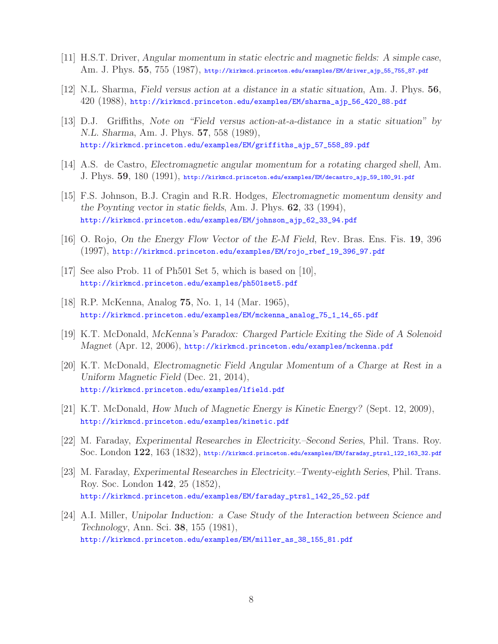- [11] H.S.T. Driver, *Angular momentum in static electric and magnetic fields: A simple case*, Am. J. Phys. **55**, 755 (1987), http://kirkmcd.princeton.edu/examples/EM/driver\_ajp\_55\_755\_87.pdf
- [12] N.L. Sharma, *Field versus action at a distance in a static situation*, Am. J. Phys. **56**, 420 (1988), http://kirkmcd.princeton.edu/examples/EM/sharma\_ajp\_56\_420\_88.pdf
- [13] D.J. Griffiths, *Note on "Field versus action-at-a-distance in a static situation" by N.L. Sharma*, Am. J. Phys. **57**, 558 (1989), http://kirkmcd.princeton.edu/examples/EM/griffiths\_ajp\_57\_558\_89.pdf
- [14] A.S. de Castro, *Electromagnetic angular momentum for a rotating charged shell*, Am. J. Phys. **59**, 180 (1991), http://kirkmcd.princeton.edu/examples/EM/decastro\_ajp\_59\_180\_91.pdf
- [15] F.S. Johnson, B.J. Cragin and R.R. Hodges, *Electromagnetic momentum density and the Poynting vector in static fields*, Am. J. Phys. **62**, 33 (1994), http://kirkmcd.princeton.edu/examples/EM/johnson\_ajp\_62\_33\_94.pdf
- [16] O. Rojo, *On the Energy Flow Vector of the E-M Field*, Rev. Bras. Ens. Fis. **19**, 396 (1997), http://kirkmcd.princeton.edu/examples/EM/rojo\_rbef\_19\_396\_97.pdf
- [17] See also Prob. 11 of Ph501 Set 5, which is based on [10], http://kirkmcd.princeton.edu/examples/ph501set5.pdf
- [18] R.P. McKenna, Analog **75**, No. 1, 14 (Mar. 1965), http://kirkmcd.princeton.edu/examples/EM/mckenna\_analog\_75\_1\_14\_65.pdf
- [19] K.T. McDonald, *McKenna's Paradox: Charged Particle Exiting the Side of A Solenoid Magnet* (Apr. 12, 2006), http://kirkmcd.princeton.edu/examples/mckenna.pdf
- [20] K.T. McDonald, *Electromagnetic Field Angular Momentum of a Charge at Rest in a Uniform Magnetic Field* (Dec. 21, 2014), http://kirkmcd.princeton.edu/examples/lfield.pdf
- [21] K.T. McDonald, *How Much of Magnetic Energy is Kinetic Energy?* (Sept. 12, 2009), http://kirkmcd.princeton.edu/examples/kinetic.pdf
- [22] M. Faraday, *Experimental Researches in Electricity.–Second Series*, Phil. Trans. Roy. Soc. London **122**, 163 (1832), http://kirkmcd.princeton.edu/examples/EM/faraday\_ptrsl\_122\_163\_32.pdf
- [23] M. Faraday, *Experimental Researches in Electricity.–Twenty-eighth Series*, Phil. Trans. Roy. Soc. London **142**, 25 (1852), http://kirkmcd.princeton.edu/examples/EM/faraday\_ptrsl\_142\_25\_52.pdf
- [24] A.I. Miller, *Unipolar Induction: a Case Study of the Interaction between Science and Technology*, Ann. Sci. **38**, 155 (1981), http://kirkmcd.princeton.edu/examples/EM/miller\_as\_38\_155\_81.pdf